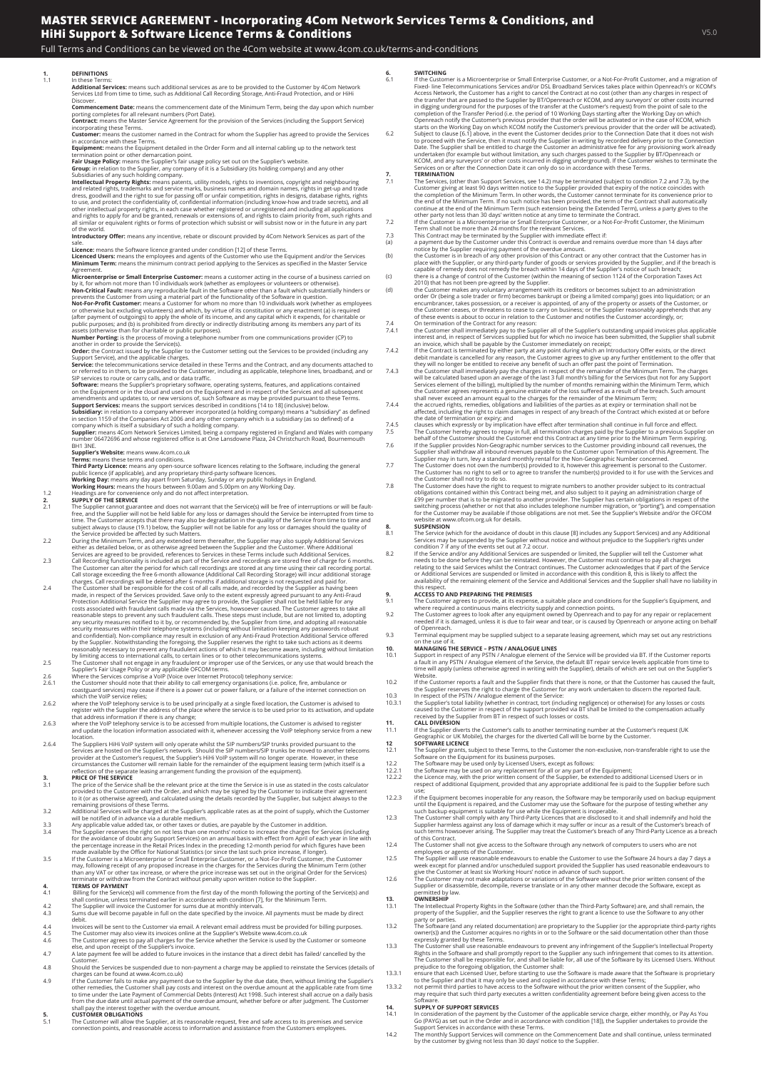Full Terms and Conditions can be viewed on the 4Com website at www.4com.co.uk/terms-and-conditions

### **1. DEFINITIONS**

# 1.1<br>**Additional Services:** means such additional services as are to be provided to the Customer by 4Com Network<br>Services Ltd from time to time, such as Additional Call Recording Storage, Anti-Fraud Protection, and or HiHi<br>

**Commencement Date:** means the commencement date of the Minimum Term, being the day upon which number<br>porting completes for all relevant numbers (Port Date).<br>**Contract:** means the Master Service Agreement for the provision

in accordance with these Terms.<br>E**quipment:** means the Equipment detailed in the Order Form and all internal cabling up to the network test<br>termination point or other demarcation point.<br>**Fair Usage Policy:** means the Suppl

Subsidiantes of any such holding company.<br>Intellectual Property Rights: means patents, utility models, rights to inventions, copyright and neighbouring<br>and related rights, trademarks and service marks, business names and d

of the world. **Introductory Offer:** means any incentive, rebate or discount provided by 4Com Network Services as part of the

sale.<br>**Licence:** means the Software licence granted under condition [12] of these Terms.<br>**Licenced Users:** means the employees and agents of the Customer who use the Equipment and/or the Services<br>**Minimum Term:** means the

Agreement.<br>Microenterprise or Small Enterprise Customer: means a customer acting in the course of a business carried on<br>by it, for whom not more than 10 individuals work (whether as employees or volunteers or otherwise).<br>N

Not-For-Profit Customer: means a Customer for whom no more than 10 individuals work (whether as employees<br>or otherwise but excluding volunteers) and which, by virtue of its constitution or any enactment (a) is required<br>(af

Supplier's Website: means www.4com.co.uk<br>
Terms: means these terms and conditions.<br>
Third Party Licence: means any open-source software licences relating to the Software, including the general<br>
public licence (if applicabl

- 2.1 SUPPLY OF THE SERVICE<br>
2.1 SUPPLY OF THE SURPLY OF THE SURPLY OF SURPLY OF SURPLY OF SURPLY OF SURPLY OF SURPLY THE SURPLIE THE CUSTAINER THE CUSTAINER THE CUSTAINER THE CUSTAINER THE CUSTAINER THE CUSTAINER THE CUSTAI
- 
- 2.3 Call Recording functionality is included as part of the Service and recordings are stored free of charge for 6 months. The Customer can alter the period for which call recordings are stored at any time using their call recording portal.
- Cal storage exceeding the free 5-month allowance (Additional Call Recording Storage) will incur additional storage<br>
2.4 The Customer shall be responsible for the cost of all calls made, and recording Storage is not request
- 
- 
- 
- 
- Services are hosted on the Supplier's network. Should the SIP numbers/SIP trunks be moved to another telecoms<br>provider at the Customer's request, the Supplier's HiHi VoIP system will no longer operate. However, in these<br>ci

- **3.1**<br>**PRICE OF THE SERVICE**<br>
THE SERVICE of the Service shall be the relevant price at the time the Service is in use as stated in the costs calculator<br>
provided to the Customer with the Order, and which may be signed by
- 
- 
- 

- 
- shall continue, unless terminated earlier in accordance with condition [7], for the Minimum Term.<br>4.2 The Supplier will invoice the Customer for sums due at monthly intervals.<br>4.3 Sums due will become payable in full on th
- 
- 
- 
- Customer.<br>4.8 Should the Services be suspended due to non-payment a charge may be applied to reinstate the Services (details of<br>4.9 Should the Services be suspended due to non-payment a charge may be applied to reinstate t stual payment of the overdue and<br>ether with the overdue amount.

## **5. CUSTOMER OBLIGATIONS**<br>**5.1** The Customer will allow the

5.1 The Customer will allow the Supplier, at its reasonable request, free and safe access to its premises and service connection points, and reasonable access to information and assistance from the Customers employees.

- **6.1**<br>WITCHING<br>CONTERNITE CUSTOMET AND EXECUTE TO a NOL-For-Profit Customer, and a migration of<br>Fixed-line Telecommunications Services and/or DSL Broadband Services takes place within Openreach's or KCOM's<br>Access Network,
- 
- 7.1 TRENINATION<br>
THE SERVICES, (other than Support Services, see 14.2) may be terminated (subject to condition 7.2 and 7.3), by the<br>
Customer glowing thest both asymptom ferminal means the plane of the service of the cont
	-
- 
- 
- 
- 
- 
- 
- 
- 
- 
- 
- 
- behalf of the Customer should the Customer end this Contract at any time prior to the Minimum Term expiring.<br>The Supplier provides Non-Geographic number services to the Customer providing inbound call revenues, the<br>Supplie

- 
- S.1 The Service (which for the avoidance of doubt in this clause [8] includes any Support Services) and any Additional<br>Services may be suspended by the Supplier without notice and without prejudice to the Supplier's rights

- 
- 9. ACCESS TO AND PREPARING THE PREMISES<br>9.1 The Customer agrees to provide, at its expense, a suitable place and conditions for the Supplier's Equipment, and<br>9.2 The Customer agrees to look after any equipment owned by Ope
- of Openreach. 9.3 Terminal equipment may be supplied subject to a separate leasing agreement, which may set out any restrictions

- on the use of it.<br>**10. MANAGING THE SERVICE PSTN / ANALOGUE LINES**<br>10.1 Support in respect of any PSTN / Analogue element of the Service will be provided via BT. If the Customer reports<br>a fault in any PSTN / Analogue ele
- time will apply (unless otherwise agreed in writing with the Supplier), details of which are set out on the Supplier's<br>
Website.<br>
If the Customer reports a fault and the Supplier finds that there is none, or that the Custo
- 
- 
- 11.1 If the Supplier diverts the Customer's calls to another terminating number at the Customer's request (UK Geographic or UK Mobile), the charges for the diverted Call will be borne by the Customer.
- 12.3 **SOFTWARE LICENCE**<br>12.1 The Supplier grants, subject to these Terms, to the Customer the non-exclusive, non-transferable right to use the<br>12.2 The Software on the Equipment for its business purposes.<br>12.2 The Software
- 
- 
- 
- 
- 12.2.3 if the Equipment becomes inoperable for any reason, the Software may be temporarily used on backup equipment<br>till the Equipment is repaired, and the Customer may use the Software for the purpose of testing whether a
- 
- week except for planned and/or unscheduled support provided the Supplier has used reasonable endeavours to<br>give the Customer at least six Working Hours' notice in advance of such support.<br>12.6 The Customer may not ma
- Supplier or disass<br>permitted by law.

- 
- 
- **SOLUTE THE SUPPER SERVER THE SUPPER SET THE SUPPER SUPPER SUPPER SUPPER SUPPER SUPPER SUPPER THE SUPPER SUPPER SUPPER SUPPER SUPPER SUPPER SUPPER SUPPER SUPPER SUPPER SUPPER SUPPER SUPPER SUPPER SUPPER SUPPER SUPPER SUPPE**
- 
- to the Supplier and that it may only be used and copied in accordance with these Terms;<br>13.3.2 not permit third parties to have access to the Software without the prior written consent of the Supplier, who<br>may require

- 14. SUPPLY OF SUPPORT SERVICES<br>19.1 In consideration of the payment by the Customer of the applicable service charge, either monthly, or Pay As You<br>19.1 Go (PAYG) as set out in the Order and in accordance with condition [1
-